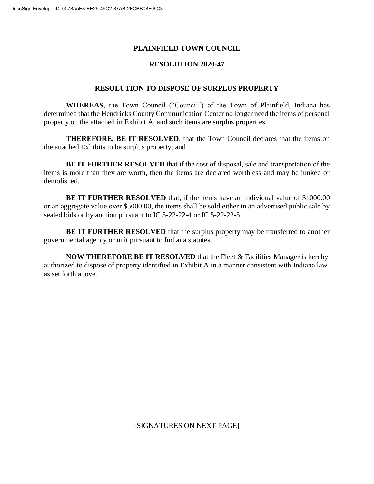## **PLAINFIELD TOWN COUNCIL**

## **RESOLUTION 2020-47**

## **RESOLUTION TO DISPOSE OF SURPLUS PROPERTY**

**WHEREAS**, the Town Council ("Council") of the Town of Plainfield, Indiana has determined that the Hendricks County Communication Center no longer need the items of personal property on the attached in Exhibit A, and such items are surplus properties.

**THEREFORE, BE IT RESOLVED**, that the Town Council declares that the items on the attached Exhibits to be surplus property; and

**BE IT FURTHER RESOLVED** that if the cost of disposal, sale and transportation of the items is more than they are worth, then the items are declared worthless and may be junked or demolished.

**BE IT FURTHER RESOLVED** that, if the items have an individual value of \$1000.00 or an aggregate value over \$5000.00, the items shall be sold either in an advertised public sale by sealed bids or by auction pursuant to IC 5-22-22-4 or IC 5-22-22-5.

**BE IT FURTHER RESOLVED** that the surplus property may be transferred to another governmental agency or unit pursuant to Indiana statutes.

**NOW THEREFORE BE IT RESOLVED** that the Fleet & Facilities Manager is hereby authorized to dispose of property identified in Exhibit A in a manner consistent with Indiana law as set forth above.

[SIGNATURES ON NEXT PAGE]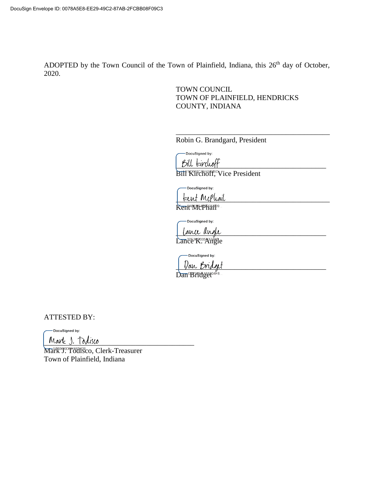ADOPTED by the Town Council of the Town of Plainfield, Indiana, this 26<sup>th</sup> day of October, 2020.

> TOWN COUNCIL TOWN OF PLAINFIELD, HENDRICKS COUNTY, INDIANA

\_\_\_\_\_\_\_\_\_\_\_\_\_\_\_\_\_\_\_\_\_\_\_\_\_\_\_\_\_\_\_\_\_\_\_\_\_\_\_\_\_\_

Robin G. Brandgard, President

-DocuSigned by:

 $B$ ill  $k$ irchoff

Bill<sup>®</sup>Kirchoff,<sup>©</sup>Vice President

-DocuSianed by:

teent McPhail Kent McPhair<sup>9</sup>

DocuSigned by:

 $_\_$ Lance R. Angle

-DocuSigned by: Dan Bridget

Dan Brittget<sup>04F8</sup>

ATTESTED BY:

-DocuSigned by:

Mark J. Todisco

Mark<sup>99</sup>. Todisco, Clerk-Treasurer Town of Plainfield, Indiana